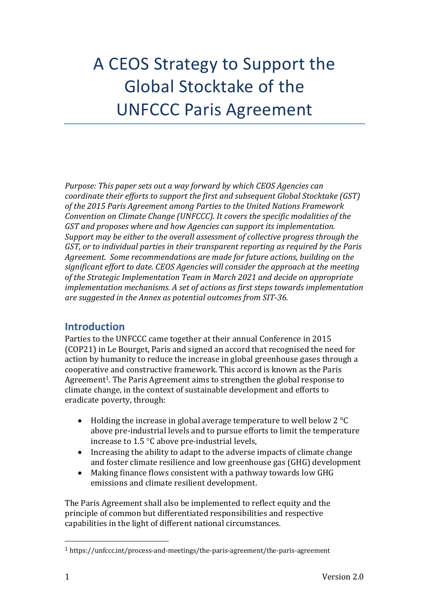# A CEOS Strategy to Support the Global Stocktake of the UNFCCC Paris Agreement

*Purpose: This paper sets out a way forward by which CEOS Agencies can coordinate their efforts to support the first and subsequent Global Stocktake (GST)* of the 2015 Paris Agreement among Parties to the United Nations Framework *Convention on Climate Change (UNFCCC). It covers the specific modalities of the* GST and proposes where and how Agencies can support its implementation. *Support may be either to the overall assessment of collective progress through the GST, or to individual parties in their transparent reporting as required by the Paris* Agreement. Some recommendations are made for future actions, building on the significant effort to date. CEOS Agencies will consider the approach at the meeting of the Strategic Implementation Team in March 2021 and decide on appropriate *implementation mechanisms. A set of actions as first steps towards implementation are suggested in the Annex as potential outcomes from SIT-36.*

## **Introduction**

Parties to the UNFCCC came together at their annual Conference in 2015 (COP21) in Le Bourget, Paris and signed an accord that recognised the need for action by humanity to reduce the increase in global greenhouse gases through a cooperative and constructive framework. This accord is known as the Paris Agreement<sup>1</sup>. The Paris Agreement aims to strengthen the global response to climate change, in the context of sustainable development and efforts to eradicate poverty, through:

- Holding the increase in global average temperature to well below 2  $^{\circ}$ C above pre-industrial levels and to pursue efforts to limit the temperature increase to  $1.5 \text{ }^{\circ}$ C above pre-industrial levels,
- Increasing the ability to adapt to the adverse impacts of climate change and foster climate resilience and low greenhouse gas (GHG) development
- Making finance flows consistent with a pathway towards low GHG emissions and climate resilient development.

The Paris Agreement shall also be implemented to reflect equity and the principle of common but differentiated responsibilities and respective capabilities in the light of different national circumstances.

 $1$  https://unfccc.int/process-and-meetings/the-paris-agreement/the-paris-agreement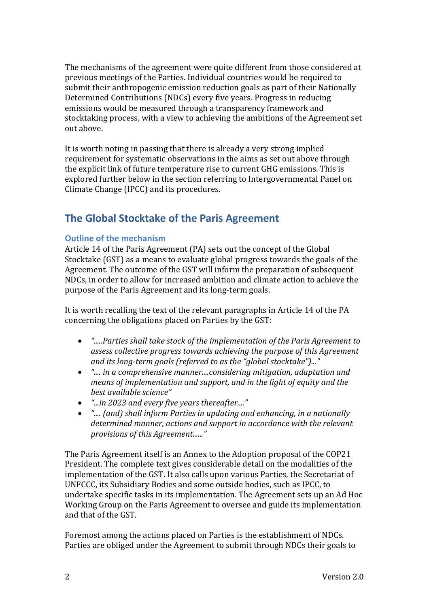The mechanisms of the agreement were quite different from those considered at previous meetings of the Parties. Individual countries would be required to submit their anthropogenic emission reduction goals as part of their Nationally Determined Contributions (NDCs) every five years. Progress in reducing emissions would be measured through a transparency framework and stocktaking process, with a view to achieving the ambitions of the Agreement set out above.

It is worth noting in passing that there is already a very strong implied requirement for systematic observations in the aims as set out above through the explicit link of future temperature rise to current GHG emissions. This is explored further below in the section referring to Intergovernmental Panel on Climate Change (IPCC) and its procedures.

## **The Global Stocktake of the Paris Agreement**

#### **Outline of the mechanism**

Article 14 of the Paris Agreement (PA) sets out the concept of the Global Stocktake (GST) as a means to evaluate global progress towards the goals of the Agreement. The outcome of the GST will inform the preparation of subsequent NDCs, in order to allow for increased ambition and climate action to achieve the purpose of the Paris Agreement and its long-term goals.

It is worth recalling the text of the relevant paragraphs in Article 14 of the PA concerning the obligations placed on Parties by the GST:

- *".....Parties shall take stock of the implementation of the Paris Agreement to* assess collective progress towards achieving the purpose of this Agreement and its long-term goals (referred to as the "global stocktake")..."
- *"....* in a comprehensive manner....considering mitigation, adaptation and *means of implementation and support, and in the light of equity and the best available science"*
- *"...in* 2023 and every five years thereafter...."
- *"....* (and) shall inform Parties in updating and enhancing, in a nationally determined manner, actions and support in accordance with the relevant *provisions of this Agreement......"*

The Paris Agreement itself is an Annex to the Adoption proposal of the COP21 President. The complete text gives considerable detail on the modalities of the implementation of the GST. It also calls upon various Parties, the Secretariat of UNFCCC, its Subsidiary Bodies and some outside bodies, such as IPCC, to undertake specific tasks in its implementation. The Agreement sets up an Ad Hoc Working Group on the Paris Agreement to oversee and guide its implementation and that of the GST.

Foremost among the actions placed on Parties is the establishment of NDCs. Parties are obliged under the Agreement to submit through NDCs their goals to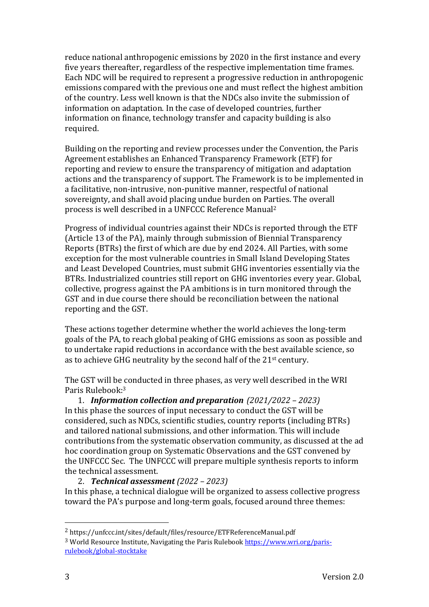reduce national anthropogenic emissions by 2020 in the first instance and every five years thereafter, regardless of the respective implementation time frames. Each NDC will be required to represent a progressive reduction in anthropogenic emissions compared with the previous one and must reflect the highest ambition of the country. Less well known is that the NDCs also invite the submission of information on adaptation. In the case of developed countries, further information on finance, technology transfer and capacity building is also required. 

Building on the reporting and review processes under the Convention, the Paris Agreement establishes an Enhanced Transparency Framework (ETF) for reporting and review to ensure the transparency of mitigation and adaptation actions and the transparency of support. The Framework is to be implemented in a facilitative, non-intrusive, non-punitive manner, respectful of national sovereignty, and shall avoid placing undue burden on Parties. The overall process is well described in a UNFCCC Reference Manual<sup>2</sup>

Progress of individual countries against their NDCs is reported through the ETF (Article 13 of the PA), mainly through submission of Biennial Transparency Reports (BTRs) the first of which are due by end 2024. All Parties, with some exception for the most vulnerable countries in Small Island Developing States and Least Developed Countries, must submit GHG inventories essentially via the BTRs. Industrialized countries still report on GHG inventories every year. Global, collective, progress against the PA ambitions is in turn monitored through the GST and in due course there should be reconciliation between the national reporting and the GST.

These actions together determine whether the world achieves the long-term goals of the PA, to reach global peaking of GHG emissions as soon as possible and to undertake rapid reductions in accordance with the best available science, so as to achieve GHG neutrality by the second half of the  $21<sup>st</sup>$  century.

The GST will be conducted in three phases, as very well described in the WRI Paris Rulebook:<sup>3</sup>

1. *Information collection and preparation (2021/2022 – 2023)* In this phase the sources of input necessary to conduct the GST will be considered, such as NDCs, scientific studies, country reports (including BTRs) and tailored national submissions, and other information. This will include contributions from the systematic observation community, as discussed at the ad hoc coordination group on Systematic Observations and the GST convened by the UNFCCC Sec. The UNFCCC will prepare multiple synthesis reports to inform the technical assessment.

2. *Technical assessment (2022 – 2023)* In this phase, a technical dialogue will be organized to assess collective progress toward the PA's purpose and long-term goals, focused around three themes:

<sup>2</sup> https://unfccc.int/sites/default/files/resource/ETFReferenceManual.pdf

<sup>&</sup>lt;sup>3</sup> World Resource Institute, Navigating the Paris Rulebook https://www.wri.org/parisrulebook/global-stocktake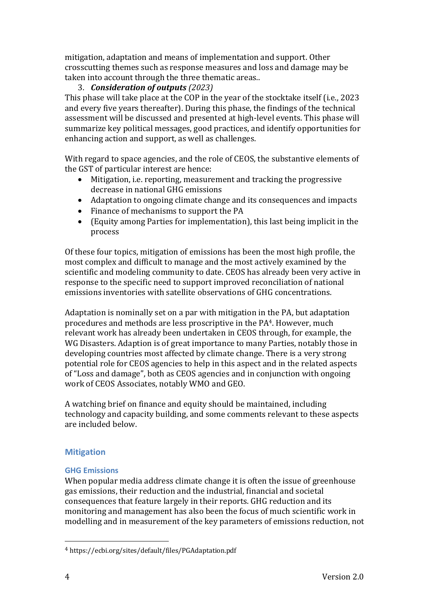mitigation, adaptation and means of implementation and support. Other crosscutting themes such as response measures and loss and damage may be taken into account through the three thematic areas..

#### 3. *Consideration of outputs (2023)*

This phase will take place at the COP in the year of the stocktake itself (i.e., 2023 and every five years thereafter). During this phase, the findings of the technical assessment will be discussed and presented at high-level events. This phase will summarize key political messages, good practices, and identify opportunities for enhancing action and support, as well as challenges.

With regard to space agencies, and the role of CEOS, the substantive elements of the GST of particular interest are hence:

- Mitigation, i.e. reporting, measurement and tracking the progressive decrease in national GHG emissions
- Adaptation to ongoing climate change and its consequences and impacts
- Finance of mechanisms to support the PA
- (Equity among Parties for implementation), this last being implicit in the process

Of these four topics, mitigation of emissions has been the most high profile, the most complex and difficult to manage and the most actively examined by the scientific and modeling community to date. CEOS has already been very active in response to the specific need to support improved reconciliation of national emissions inventories with satellite observations of GHG concentrations.

Adaptation is nominally set on a par with mitigation in the PA, but adaptation procedures and methods are less proscriptive in the PA4. However, much relevant work has already been undertaken in CEOS through, for example, the WG Disasters. Adaption is of great importance to many Parties, notably those in developing countries most affected by climate change. There is a very strong potential role for CEOS agencies to help in this aspect and in the related aspects of "Loss and damage", both as CEOS agencies and in conjunction with ongoing work of CEOS Associates, notably WMO and GEO.

A watching brief on finance and equity should be maintained, including technology and capacity building, and some comments relevant to these aspects are included below.

#### **Mitigation**

#### **GHG Emissions**

When popular media address climate change it is often the issue of greenhouse gas emissions, their reduction and the industrial, financial and societal consequences that feature largely in their reports. GHG reduction and its monitoring and management has also been the focus of much scientific work in modelling and in measurement of the key parameters of emissions reduction, not

<sup>4</sup> https://ecbi.org/sites/default/files/PGAdaptation.pdf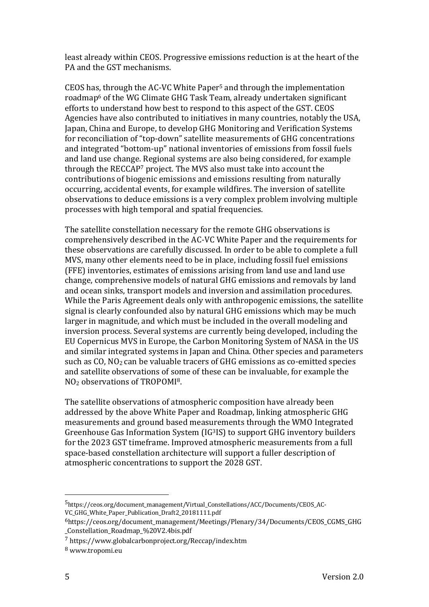least already within CEOS. Progressive emissions reduction is at the heart of the PA and the GST mechanisms.

CEOS has, through the AC-VC White Paper<sup>5</sup> and through the implementation roadmap<sup>6</sup> of the WG Climate GHG Task Team, already undertaken significant efforts to understand how best to respond to this aspect of the GST. CEOS Agencies have also contributed to initiatives in many countries, notably the USA, Japan, China and Europe, to develop GHG Monitoring and Verification Systems for reconciliation of "top-down" satellite measurements of GHG concentrations and integrated "bottom-up" national inventories of emissions from fossil fuels and land use change. Regional systems are also being considered, for example through the RECCAP7 project. The MVS also must take into account the contributions of biogenic emissions and emissions resulting from naturally occurring, accidental events, for example wildfires. The inversion of satellite observations to deduce emissions is a very complex problem involving multiple processes with high temporal and spatial frequencies.

The satellite constellation necessary for the remote GHG observations is comprehensively described in the AC-VC White Paper and the requirements for these observations are carefully discussed. In order to be able to complete a full MVS, many other elements need to be in place, including fossil fuel emissions (FFE) inventories, estimates of emissions arising from land use and land use change, comprehensive models of natural GHG emissions and removals by land and ocean sinks, transport models and inversion and assimilation procedures. While the Paris Agreement deals only with anthropogenic emissions, the satellite signal is clearly confounded also by natural GHG emissions which may be much larger in magnitude, and which must be included in the overall modeling and inversion process. Several systems are currently being developed, including the EU Copernicus MVS in Europe, the Carbon Monitoring System of NASA in the US and similar integrated systems in Japan and China. Other species and parameters such as  $CO$ ,  $NO<sub>2</sub>$  can be valuable tracers of GHG emissions as co-emitted species and satellite observations of some of these can be invaluable, for example the  $NO<sub>2</sub>$  observations of TROPOMI<sup>8</sup>.

The satellite observations of atmospheric composition have already been addressed by the above White Paper and Roadmap, linking atmospheric GHG measurements and ground based measurements through the WMO Integrated Greenhouse Gas Information System  $(IG<sup>3</sup>IS)$  to support GHG inventory builders for the 2023 GST timeframe. Improved atmospheric measurements from a full space-based constellation architecture will support a fuller description of atmospheric concentrations to support the 2028 GST.

<sup>5</sup>https://ceos.org/document\_management/Virtual\_Constellations/ACC/Documents/CEOS\_AC-VC\_GHG\_White\_Paper\_Publication\_Draft2\_20181111.pdf

<sup>6</sup>https://ceos.org/document\_management/Meetings/Plenary/34/Documents/CEOS\_CGMS\_GHG \_Constellation\_Roadmap\_%20V2.4bis.pdf

<sup>7</sup> https://www.globalcarbonproject.org/Reccap/index.htm

<sup>8</sup> www.tropomi.eu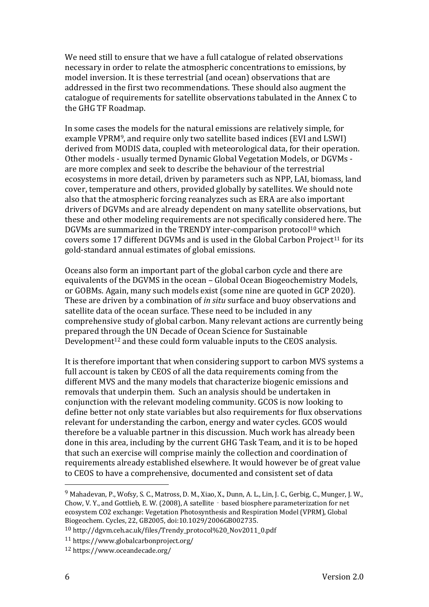We need still to ensure that we have a full catalogue of related observations necessary in order to relate the atmospheric concentrations to emissions, by model inversion. It is these terrestrial (and ocean) observations that are addressed in the first two recommendations. These should also augment the catalogue of requirements for satellite observations tabulated in the Annex C to the GHG TF Roadmap.

In some cases the models for the natural emissions are relatively simple, for example VPRM<sup>9</sup>, and require only two satellite based indices (EVI and LSWI) derived from MODIS data, coupled with meteorological data, for their operation. Other models - usually termed Dynamic Global Vegetation Models, or DGVMs are more complex and seek to describe the behaviour of the terrestrial ecosystems in more detail, driven by parameters such as NPP, LAI, biomass, land cover, temperature and others, provided globally by satellites. We should note also that the atmospheric forcing reanalyzes such as ERA are also important drivers of DGVMs and are already dependent on many satellite observations, but these and other modeling requirements are not specifically considered here. The DGVMs are summarized in the TRENDY inter-comparison protocol<sup>10</sup> which covers some 17 different DGVMs and is used in the Global Carbon Project<sup>11</sup> for its gold-standard annual estimates of global emissions.

Oceans also form an important part of the global carbon cycle and there are equivalents of the DGVMS in the ocean – Global Ocean Biogeochemistry Models, or GOBMs. Again, many such models exist (some nine are quoted in GCP 2020). These are driven by a combination of *in situ* surface and buoy observations and satellite data of the ocean surface. These need to be included in any comprehensive study of global carbon. Many relevant actions are currently being prepared through the UN Decade of Ocean Science for Sustainable Development<sup>12</sup> and these could form valuable inputs to the CEOS analysis.

It is therefore important that when considering support to carbon MVS systems a full account is taken by CEOS of all the data requirements coming from the different MVS and the many models that characterize biogenic emissions and removals that underpin them. Such an analysis should be undertaken in conjunction with the relevant modeling community. GCOS is now looking to define better not only state variables but also requirements for flux observations relevant for understanding the carbon, energy and water cycles. GCOS would therefore be a valuable partner in this discussion. Much work has already been done in this area, including by the current GHG Task Team, and it is to be hoped that such an exercise will comprise mainly the collection and coordination of requirements already established elsewhere. It would however be of great value to CEOS to have a comprehensive, documented and consistent set of data

<sup>&</sup>lt;sup>9</sup> Mahadevan, P., Wofsy, S. C., Matross, D. M., Xiao, X., Dunn, A. L., Lin, J. C., Gerbig, C., Munger, J. W., Chow, V.Y., and Gottlieb, E.W. (2008), A satellite - based biosphere parameterization for net ecosystem CO2 exchange: Vegetation Photosynthesis and Respiration Model (VPRM), Global Biogeochem. Cycles, 22, GB2005, doi:10.1029/2006GB002735.

<sup>10</sup> http://dgvm.ceh.ac.uk/files/Trendy\_protocol%20\_Nov2011\_0.pdf

<sup>11</sup> https://www.globalcarbonproject.org/

<sup>12</sup> https://www.oceandecade.org/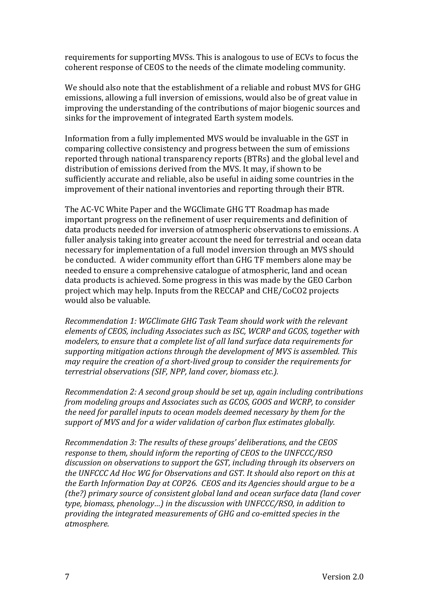requirements for supporting MVSs. This is analogous to use of ECVs to focus the coherent response of CEOS to the needs of the climate modeling community.

We should also note that the establishment of a reliable and robust MVS for GHG emissions, allowing a full inversion of emissions, would also be of great value in improving the understanding of the contributions of major biogenic sources and sinks for the improvement of integrated Earth system models.

Information from a fully implemented MVS would be invaluable in the GST in comparing collective consistency and progress between the sum of emissions reported through national transparency reports (BTRs) and the global level and distribution of emissions derived from the MVS. It may, if shown to be sufficiently accurate and reliable, also be useful in aiding some countries in the improvement of their national inventories and reporting through their BTR.

The AC-VC White Paper and the WGClimate GHG TT Roadmap has made important progress on the refinement of user requirements and definition of data products needed for inversion of atmospheric observations to emissions. A fuller analysis taking into greater account the need for terrestrial and ocean data necessary for implementation of a full model inversion through an MVS should be conducted. A wider community effort than GHG TF members alone may be needed to ensure a comprehensive catalogue of atmospheric, land and ocean data products is achieved. Some progress in this was made by the GEO Carbon project which may help. Inputs from the RECCAP and CHE/CoCO2 projects would also be valuable.

*Recommendation 1: WGClimate GHG Task Team should work with the relevant elements of CEOS, including Associates such as ISC, WCRP and GCOS, together with modelers, to ensure that a complete list of all land surface data requirements for supporting mitigation actions through the development of MVS is assembled. This may* require the creation of a short-lived group to consider the requirements for *terrestrial observations (SIF, NPP, land cover, biomass etc.).* 

*Recommendation 2: A second group should be set up, again including contributions from modeling aroups and Associates such as GCOS, GOOS and WCRP, to consider the need for parallel inputs to ocean models deemed necessary by them for the* support of MVS and for a wider validation of carbon flux estimates globally.

*Recommendation 3: The results of these groups' deliberations, and the CEOS response to them, should inform the reporting of CEOS to the UNFCCC/RSO* discussion on observations to support the GST, including through its observers on *the UNFCCC Ad Hoc WG for Observations and GST. It should also report on this at* the Earth Information Day at COP26. CEOS and its Agencies should argue to be a *(the?)* primary source of consistent global land and ocean surface data (land cover *type, biomass, phenology…) in the discussion with UNFCCC/RSO, in addition to providing the integrated measurements of GHG and co-emitted species in the atmosphere.*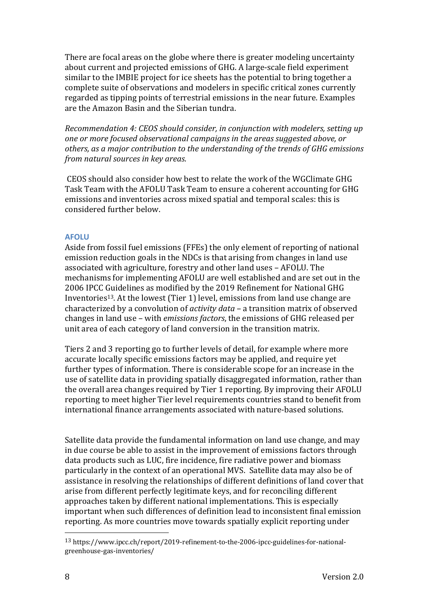There are focal areas on the globe where there is greater modeling uncertainty about current and projected emissions of GHG. A large-scale field experiment similar to the IMBIE project for ice sheets has the potential to bring together a complete suite of observations and modelers in specific critical zones currently regarded as tipping points of terrestrial emissions in the near future. Examples are the Amazon Basin and the Siberian tundra.

*Recommendation 4: CEOS should consider, in conjunction with modelers, setting up one or more focused observational campaigns in the areas suggested above, or* others, as a major contribution to the understanding of the trends of GHG emissions *from natural sources in key areas.*

CEOS should also consider how best to relate the work of the WGClimate GHG Task Team with the AFOLU Task Team to ensure a coherent accounting for GHG emissions and inventories across mixed spatial and temporal scales: this is considered further below.

#### **AFOLU**

Aside from fossil fuel emissions (FFEs) the only element of reporting of national emission reduction goals in the NDCs is that arising from changes in land use associated with agriculture, forestry and other land uses - AFOLU. The mechanisms for implementing AFOLU are well established and are set out in the 2006 IPCC Guidelines as modified by the 2019 Refinement for National GHG Inventories<sup>13</sup>. At the lowest (Tier 1) level, emissions from land use change are characterized by a convolution of *activity data* – a transition matrix of observed changes in land use – with *emissions factors*, the emissions of GHG released per unit area of each category of land conversion in the transition matrix.

Tiers 2 and 3 reporting go to further levels of detail, for example where more accurate locally specific emissions factors may be applied, and require yet further types of information. There is considerable scope for an increase in the use of satellite data in providing spatially disaggregated information, rather than the overall area changes required by Tier 1 reporting. By improving their AFOLU reporting to meet higher Tier level requirements countries stand to benefit from international finance arrangements associated with nature-based solutions.

Satellite data provide the fundamental information on land use change, and may in due course be able to assist in the improvement of emissions factors through data products such as LUC, fire incidence, fire radiative power and biomass particularly in the context of an operational MVS. Satellite data may also be of assistance in resolving the relationships of different definitions of land cover that arise from different perfectly legitimate keys, and for reconciling different approaches taken by different national implementations. This is especially important when such differences of definition lead to inconsistent final emission reporting. As more countries move towards spatially explicit reporting under

<sup>13</sup> https://www.ipcc.ch/report/2019-refinement-to-the-2006-ipcc-guidelines-for-nationalgreenhouse-gas-inventories/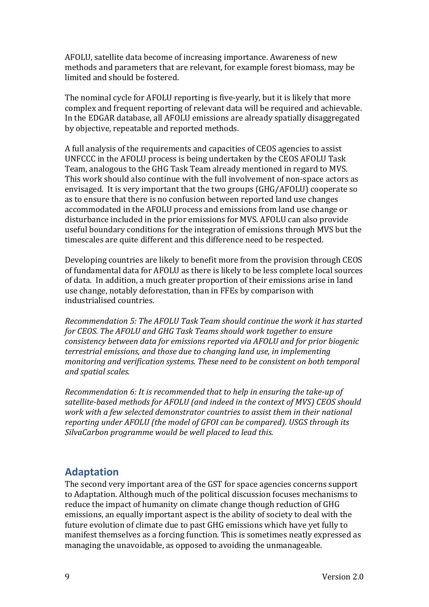AFOLU, satellite data become of increasing importance. Awareness of new methods and parameters that are relevant, for example forest biomass, may be limited and should be fostered.

The nominal cycle for AFOLU reporting is five-yearly, but it is likely that more complex and frequent reporting of relevant data will be required and achievable. In the EDGAR database, all AFOLU emissions are already spatially disaggregated by objective, repeatable and reported methods.

A full analysis of the requirements and capacities of CEOS agencies to assist UNFCCC in the AFOLU process is being undertaken by the CEOS AFOLU Task Team, analogous to the GHG Task Team already mentioned in regard to MVS. This work should also continue with the full involvement of non-space actors as envisaged. It is very important that the two groups (GHG/AFOLU) cooperate so as to ensure that there is no confusion between reported land use changes accommodated in the AFOLU process and emissions from land use change or disturbance included in the prior emissions for MVS. AFOLU can also provide useful boundary conditions for the integration of emissions through MVS but the timescales are quite different and this difference need to be respected.

Developing countries are likely to benefit more from the provision through CEOS of fundamental data for AFOLU as there is likely to be less complete local sources of data. In addition, a much greater proportion of their emissions arise in land use change, notably deforestation, than in FFEs by comparison with industrialised countries.

*Recommendation 5: The AFOLU Task Team should continue the work it has started for CEOS. The AFOLU and GHG Task Teams should work together to ensure consistency between data for emissions reported via AFOLU and for prior biogenic terrestrial emissions, and those due to changing land use, in implementing monitoring and verification systems. These need to be consistent on both temporal and spatial scales.*

*Recommendation* 6: It is recommended that to help in ensuring the take-up of satellite-based methods for AFOLU (and indeed in the context of MVS) CEOS should *work* with a few selected demonstrator countries to assist them in their national *reporting under AFOLU* (the model of GFOI can be compared). USGS through its SilvaCarbon programme would be well placed to lead this.

## **Adaptation**

The second very important area of the GST for space agencies concerns support to Adaptation. Although much of the political discussion focuses mechanisms to reduce the impact of humanity on climate change though reduction of GHG emissions, an equally important aspect is the ability of society to deal with the future evolution of climate due to past GHG emissions which have vet fully to manifest themselves as a forcing function. This is sometimes neatly expressed as managing the unavoidable, as opposed to avoiding the unmanageable.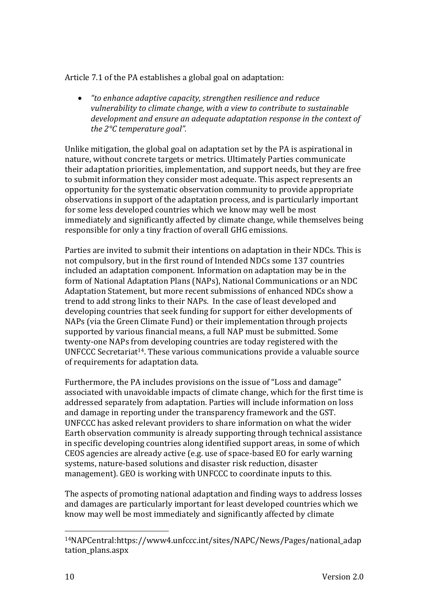Article 7.1 of the PA establishes a global goal on adaptation:

"to enhance adaptive capacity, strengthen resilience and reduce *vulnerability* to climate change, with a view to contribute to sustainable development and ensure an adequate adaptation response in the context of *the* 2°C *temperature goal*".

Unlike mitigation, the global goal on adaptation set by the PA is aspirational in nature, without concrete targets or metrics. Ultimately Parties communicate their adaptation priorities, implementation, and support needs, but they are free to submit information they consider most adequate. This aspect represents an opportunity for the systematic observation community to provide appropriate observations in support of the adaptation process, and is particularly important for some less developed countries which we know may well be most immediately and significantly affected by climate change, while themselves being responsible for only a tiny fraction of overall GHG emissions.

Parties are invited to submit their intentions on adaptation in their NDCs. This is not compulsory, but in the first round of Intended NDCs some 137 countries included an adaptation component. Information on adaptation may be in the form of National Adaptation Plans (NAPs), National Communications or an NDC Adaptation Statement, but more recent submissions of enhanced NDCs show a trend to add strong links to their NAPs. In the case of least developed and developing countries that seek funding for support for either developments of NAPs (via the Green Climate Fund) or their implementation through projects supported by various financial means, a full NAP must be submitted. Some twenty-one NAPs from developing countries are today registered with the UNFCCC Secretariat<sup>14</sup>. These various communications provide a valuable source of requirements for adaptation data.

Furthermore, the PA includes provisions on the issue of "Loss and damage" associated with unavoidable impacts of climate change, which for the first time is addressed separately from adaptation. Parties will include information on loss and damage in reporting under the transparency framework and the GST. UNFCCC has asked relevant providers to share information on what the wider Earth observation community is already supporting through technical assistance in specific developing countries along identified support areas, in some of which CEOS agencies are already active (e.g. use of space-based EO for early warning systems, nature-based solutions and disaster risk reduction, disaster management). GEO is working with UNFCCC to coordinate inputs to this.

The aspects of promoting national adaptation and finding ways to address losses and damages are particularly important for least developed countries which we know may well be most immediately and significantly affected by climate

<sup>14</sup>NAPCentral:https://www4.unfccc.int/sites/NAPC/News/Pages/national\_adap tation plans.aspx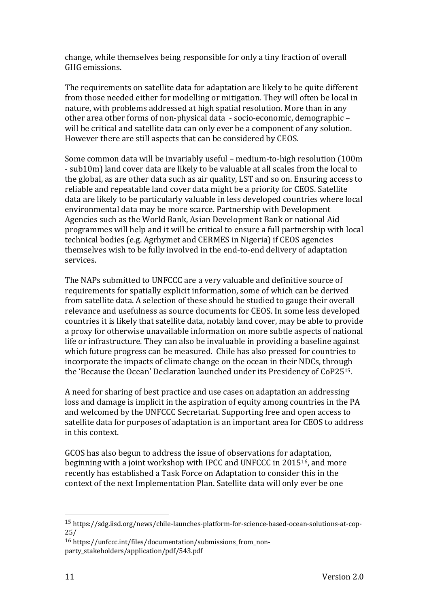change, while themselves being responsible for only a tiny fraction of overall GHG emissions.

The requirements on satellite data for adaptation are likely to be quite different from those needed either for modelling or mitigation. They will often be local in nature, with problems addressed at high spatial resolution. More than in any other area other forms of non-physical data - socio-economic, demographic will be critical and satellite data can only ever be a component of any solution. However there are still aspects that can be considered by CEOS.

Some common data will be invariably useful – medium-to-high resolution (100m) - sub10m) land cover data are likely to be valuable at all scales from the local to the global, as are other data such as air quality, LST and so on. Ensuring access to reliable and repeatable land cover data might be a priority for CEOS. Satellite data are likely to be particularly valuable in less developed countries where local environmental data may be more scarce. Partnership with Development Agencies such as the World Bank, Asian Development Bank or national Aid programmes will help and it will be critical to ensure a full partnership with local technical bodies (e.g. Agrhymet and CERMES in Nigeria) if CEOS agencies themselves wish to be fully involved in the end-to-end delivery of adaptation services.

The NAPs submitted to UNFCCC are a very valuable and definitive source of requirements for spatially explicit information, some of which can be derived from satellite data. A selection of these should be studied to gauge their overall relevance and usefulness as source documents for CEOS. In some less developed countries it is likely that satellite data, notably land cover, may be able to provide a proxy for otherwise unavailable information on more subtle aspects of national life or infrastructure. They can also be invaluable in providing a baseline against which future progress can be measured. Chile has also pressed for countries to incorporate the impacts of climate change on the ocean in their NDCs, through the 'Because the Ocean' Declaration launched under its Presidency of CoP25<sup>15</sup>.

A need for sharing of best practice and use cases on adaptation an addressing loss and damage is implicit in the aspiration of equity among countries in the PA and welcomed by the UNFCCC Secretariat. Supporting free and open access to satellite data for purposes of adaptation is an important area for CEOS to address in this context.

GCOS has also begun to address the issue of observations for adaptation, beginning with a joint workshop with IPCC and UNFCCC in 2015<sup>16</sup>, and more recently has established a Task Force on Adaptation to consider this in the context of the next Implementation Plan. Satellite data will only ever be one

<sup>15</sup> https://sdg.iisd.org/news/chile-launches-platform-for-science-based-ocean-solutions-at-cop-25/

<sup>16</sup> https://unfccc.int/files/documentation/submissions\_from\_nonparty\_stakeholders/application/pdf/543.pdf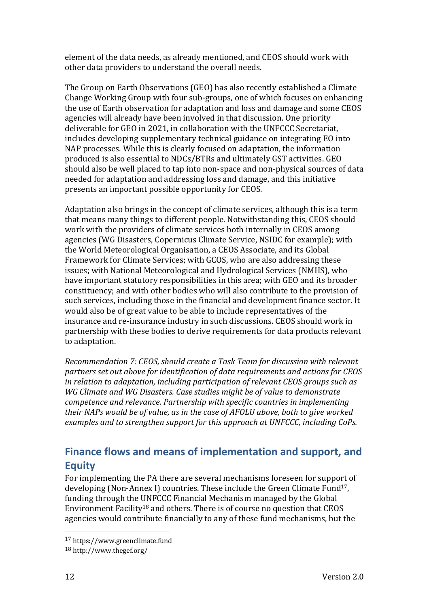element of the data needs, as already mentioned, and CEOS should work with other data providers to understand the overall needs.

The Group on Earth Observations (GEO) has also recently established a Climate Change Working Group with four sub-groups, one of which focuses on enhancing the use of Earth observation for adaptation and loss and damage and some CEOS agencies will already have been involved in that discussion. One priority deliverable for GEO in 2021, in collaboration with the UNFCCC Secretariat, includes developing supplementary technical guidance on integrating EO into NAP processes. While this is clearly focused on adaptation, the information produced is also essential to NDCs/BTRs and ultimately GST activities. GEO should also be well placed to tap into non-space and non-physical sources of data needed for adaptation and addressing loss and damage, and this initiative presents an important possible opportunity for CEOS.

Adaptation also brings in the concept of climate services, although this is a term that means many things to different people. Notwithstanding this, CEOS should work with the providers of climate services both internally in CEOS among agencies (WG Disasters, Copernicus Climate Service, NSIDC for example); with the World Meteorological Organisation, a CEOS Associate, and its Global Framework for Climate Services; with GCOS, who are also addressing these issues; with National Meteorological and Hydrological Services (NMHS), who have important statutory responsibilities in this area; with GEO and its broader constituency; and with other bodies who will also contribute to the provision of such services, including those in the financial and development finance sector. It would also be of great value to be able to include representatives of the insurance and re-insurance industry in such discussions. CEOS should work in partnership with these bodies to derive requirements for data products relevant to adaptation.

*Recommendation 7: CEOS, should create a Task Team for discussion with relevant*  partners set out above for *identification* of data requirements and actions for CEOS *in relation to adaptation, including participation of relevant CEOS groups such as WG* Climate and WG Disasters. Case studies might be of value to demonstrate *competence and relevance. Partnership with specific countries in implementing* their NAPs would be of value, as in the case of AFOLU above, both to give worked examples and to strengthen support for this approach at UNFCCC, including CoPs.

## **Finance flows and means of implementation and support, and Equity**

For implementing the PA there are several mechanisms foreseen for support of developing (Non-Annex I) countries. These include the Green Climate Fund<sup>17</sup>, funding through the UNFCCC Financial Mechanism managed by the Global Environment Facility<sup>18</sup> and others. There is of course no question that  $CEOS$ agencies would contribute financially to any of these fund mechanisms, but the

<sup>17</sup> https://www.greenclimate.fund

<sup>18</sup> http://www.thegef.org/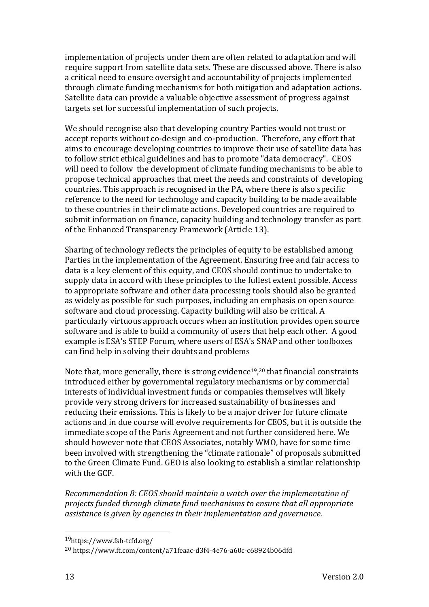implementation of projects under them are often related to adaptation and will require support from satellite data sets. These are discussed above. There is also a critical need to ensure oversight and accountability of projects implemented through climate funding mechanisms for both mitigation and adaptation actions. Satellite data can provide a valuable objective assessment of progress against targets set for successful implementation of such projects.

We should recognise also that developing country Parties would not trust or accept reports without co-design and co-production. Therefore, any effort that aims to encourage developing countries to improve their use of satellite data has to follow strict ethical guidelines and has to promote "data democracy". CEOS will need to follow the development of climate funding mechanisms to be able to propose technical approaches that meet the needs and constraints of developing countries. This approach is recognised in the PA, where there is also specific reference to the need for technology and capacity building to be made available to these countries in their climate actions. Developed countries are required to submit information on finance, capacity building and technology transfer as part of the Enhanced Transparency Framework (Article 13).

Sharing of technology reflects the principles of equity to be established among Parties in the implementation of the Agreement. Ensuring free and fair access to data is a key element of this equity, and CEOS should continue to undertake to supply data in accord with these principles to the fullest extent possible. Access to appropriate software and other data processing tools should also be granted as widely as possible for such purposes, including an emphasis on open source software and cloud processing. Capacity building will also be critical. A particularly virtuous approach occurs when an institution provides open source software and is able to build a community of users that help each other. A good example is ESA's STEP Forum, where users of ESA's SNAP and other toolboxes can find help in solving their doubts and problems

Note that, more generally, there is strong evidence<sup>19</sup>,<sup>20</sup> that financial constraints introduced either by governmental regulatory mechanisms or by commercial interests of individual investment funds or companies themselves will likely provide very strong drivers for increased sustainability of businesses and reducing their emissions. This is likely to be a major driver for future climate actions and in due course will evolve requirements for CEOS, but it is outside the immediate scope of the Paris Agreement and not further considered here. We should however note that CEOS Associates, notably WMO, have for some time been involved with strengthening the "climate rationale" of proposals submitted to the Green Climate Fund. GEO is also looking to establish a similar relationship with the GCF.

*Recommendation 8: CEOS should maintain a watch over the implementation of projects funded through climate fund mechanisms to ensure that all appropriate assistance is given by agencies in their implementation and governance.* 

<sup>19</sup>https://www.fsb-tcfd.org/

<sup>20</sup> https://www.ft.com/content/a71feaac-d3f4-4e76-a60c-c68924b06dfd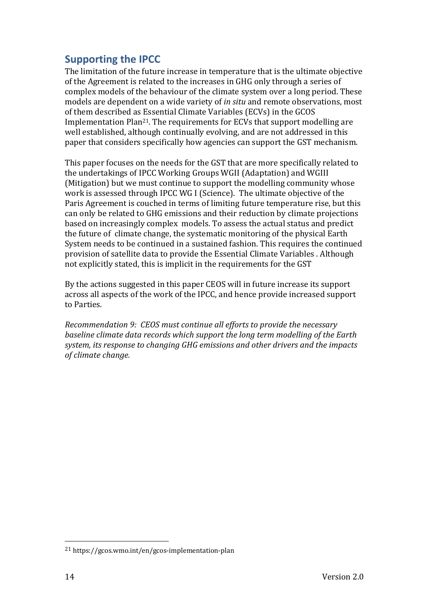## **Supporting the IPCC**

The limitation of the future increase in temperature that is the ultimate objective of the Agreement is related to the increases in GHG only through a series of complex models of the behaviour of the climate system over a long period. These models are dependent on a wide variety of *in situ* and remote observations, most of them described as Essential Climate Variables (ECVs) in the GCOS Implementation Plan<sup>21</sup>. The requirements for ECVs that support modelling are well established, although continually evolving, and are not addressed in this paper that considers specifically how agencies can support the GST mechanism.

This paper focuses on the needs for the GST that are more specifically related to the undertakings of IPCC Working Groups WGII (Adaptation) and WGIII (Mitigation) but we must continue to support the modelling community whose work is assessed through IPCC WG I (Science). The ultimate objective of the Paris Agreement is couched in terms of limiting future temperature rise, but this can only be related to GHG emissions and their reduction by climate projections based on increasingly complex models. To assess the actual status and predict the future of climate change, the systematic monitoring of the physical Earth System needs to be continued in a sustained fashion. This requires the continued provision of satellite data to provide the Essential Climate Variables . Although not explicitly stated, this is implicit in the requirements for the GST

By the actions suggested in this paper CEOS will in future increase its support across all aspects of the work of the IPCC, and hence provide increased support to Parties. 

*Recommendation 9: CEOS must continue all efforts to provide the necessary baseline climate data records which support the long term modelling of the Earth* system, its response to changing GHG emissions and other drivers and the *impacts of climate change.* 

<sup>21</sup> https://gcos.wmo.int/en/gcos-implementation-plan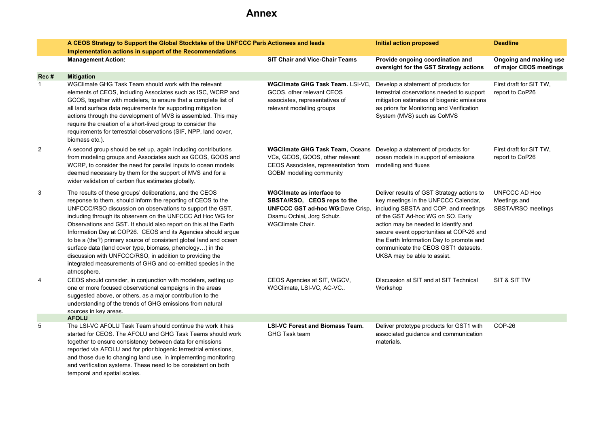# **Annex**

|                | A CEOS Strategy to Support the Global Stocktake of the UNFCCC Paris Actionees and leads                                                                                                                                                                                                                                                                                                                                                                                                                                                                                                                                                                               |                                                                                                                                                                                   | Initial action proposed                                                                                                                                                                                                                                                                                                                                                | <b>Deadline</b>                                     |
|----------------|-----------------------------------------------------------------------------------------------------------------------------------------------------------------------------------------------------------------------------------------------------------------------------------------------------------------------------------------------------------------------------------------------------------------------------------------------------------------------------------------------------------------------------------------------------------------------------------------------------------------------------------------------------------------------|-----------------------------------------------------------------------------------------------------------------------------------------------------------------------------------|------------------------------------------------------------------------------------------------------------------------------------------------------------------------------------------------------------------------------------------------------------------------------------------------------------------------------------------------------------------------|-----------------------------------------------------|
|                | Implementation actions in support of the Recommendations                                                                                                                                                                                                                                                                                                                                                                                                                                                                                                                                                                                                              |                                                                                                                                                                                   |                                                                                                                                                                                                                                                                                                                                                                        |                                                     |
|                | <b>Management Action:</b>                                                                                                                                                                                                                                                                                                                                                                                                                                                                                                                                                                                                                                             | <b>SIT Chair and Vice-Chair Teams</b>                                                                                                                                             | Provide ongoing coordination and<br>oversight for the GST Strategy actions                                                                                                                                                                                                                                                                                             | Ongoing and making use<br>of major CEOS meetings    |
| Rec#           | <b>Mitigation</b>                                                                                                                                                                                                                                                                                                                                                                                                                                                                                                                                                                                                                                                     |                                                                                                                                                                                   |                                                                                                                                                                                                                                                                                                                                                                        |                                                     |
| $\mathbf{1}$   | WGClimate GHG Task Team should work with the relevant<br>elements of CEOS, including Associates such as ISC, WCRP and<br>GCOS, together with modelers, to ensure that a complete list of<br>all land surface data requirements for supporting mitigation<br>actions through the development of MVS is assembled. This may<br>require the creation of a short-lived group to consider the<br>requirements for terrestrial observations (SIF, NPP, land cover,<br>biomass etc.).                                                                                                                                                                                        | <b>WGClimate GHG Task Team. LSI-VC.</b><br>GCOS, other relevant CEOS<br>associates, representatives of<br>relevant modelling groups                                               | Develop a statement of products for<br>terrestrial observations needed to support<br>mitigation estimates of biogenic emissions<br>as priors for Monitoring and Verification<br>System (MVS) such as CoMVS                                                                                                                                                             | First draft for SIT TW,<br>report to CoP26          |
| $\overline{2}$ | A second group should be set up, again including contributions<br>from modeling groups and Associates such as GCOS, GOOS and<br>WCRP, to consider the need for parallel inputs to ocean models<br>deemed necessary by them for the support of MVS and for a<br>wider validation of carbon flux estimates globally.                                                                                                                                                                                                                                                                                                                                                    | <b>WGClimate GHG Task Team, Oceans</b> Develop a statement of products for<br>VCs, GCOS, GOOS, other relevant<br>CEOS Associates, representation from<br>GOBM modelling community | ocean models in support of emissions<br>modelling and fluxes                                                                                                                                                                                                                                                                                                           | First draft for SIT TW,<br>report to CoP26          |
| 3              | The results of these groups' deliberations, and the CEOS<br>response to them, should inform the reporting of CEOS to the<br>UNFCCC/RSO discussion on observations to support the GST,<br>including through its observers on the UNFCCC Ad Hoc WG for<br>Observations and GST. It should also report on this at the Earth<br>Information Day at COP26. CEOS and its Agencies should argue<br>to be a (the?) primary source of consistent global land and ocean<br>surface data (land cover type, biomass, phenology) in the<br>discussion with UNFCCC/RSO, in addition to providing the<br>integrated measurements of GHG and co-emitted species in the<br>atmosphere. | <b>WGCIImate as interface to</b><br>SBSTA/RSO, CEOS reps to the<br><b>UNFCCC GST ad-hoc WG:Dave Crisp.</b><br>Osamu Ochiai, Jorg Schulz.<br><b>WGClimate Chair.</b>               | Deliver results of GST Strategy actions to<br>key meetings in the UNFCCC Calendar,<br>including SBSTA and COP, and meetings<br>of the GST Ad-hoc WG on SO. Early<br>action may be needed to identify and<br>secure event opportunities at COP-26 and<br>the Earth Information Day to promote and<br>communicate the CEOS GST1 datasets.<br>UKSA may be able to assist. | UNFCCC AD Hoc<br>Meetings and<br>SBSTA/RSO meetings |
| $\overline{4}$ | CEOS should consider, in conjunction with modelers, setting up<br>one or more focused observational campaigns in the areas<br>suggested above, or others, as a major contribution to the<br>understanding of the trends of GHG emissions from natural<br>sources in key areas.                                                                                                                                                                                                                                                                                                                                                                                        | CEOS Agencies at SIT, WGCV,<br>WGClimate, LSI-VC, AC-VC                                                                                                                           | Discussion at SIT and at SIT Technical<br>Workshop                                                                                                                                                                                                                                                                                                                     | SIT & SIT TW                                        |
|                | <b>AFOLU</b>                                                                                                                                                                                                                                                                                                                                                                                                                                                                                                                                                                                                                                                          |                                                                                                                                                                                   |                                                                                                                                                                                                                                                                                                                                                                        |                                                     |
| 5              | The LSI-VC AFOLU Task Team should continue the work it has<br>started for CEOS. The AFOLU and GHG Task Teams should work<br>together to ensure consistency between data for emissions<br>reported via AFOLU and for prior biogenic terrestrial emissions,<br>and those due to changing land use, in implementing monitoring<br>and verification systems. These need to be consistent on both<br>temporal and spatial scales.                                                                                                                                                                                                                                          | <b>LSI-VC Forest and Biomass Team.</b><br><b>GHG Task team</b>                                                                                                                    | Deliver prototype products for GST1 with<br>associated quidance and communication<br>materials.                                                                                                                                                                                                                                                                        | COP-26                                              |